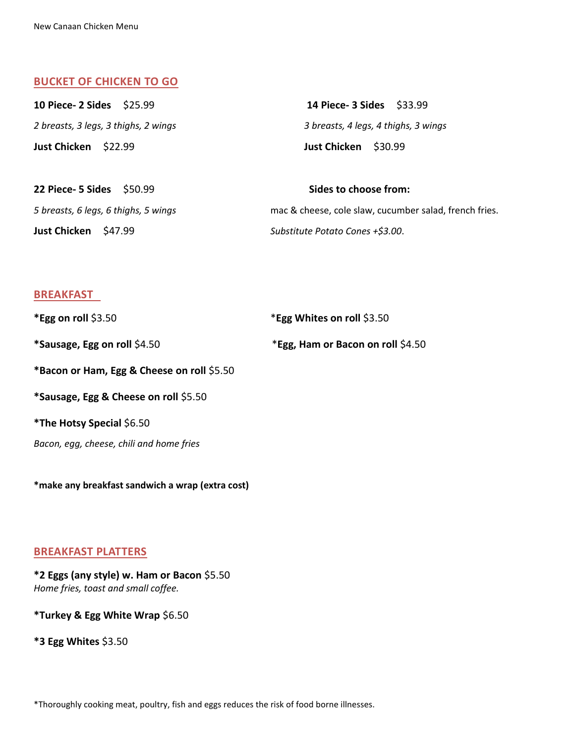#### **BUCKET OF CHICKEN TO GO**

| 10 Piece- 2 Sides \$25.99            | 14 Piece- 3 Sides \$33.99            |
|--------------------------------------|--------------------------------------|
| 2 breasts, 3 legs, 3 thighs, 2 wings | 3 breasts, 4 legs, 4 thighs, 3 wings |
| Just Chicken \$22.99                 | Just Chicken \$30.99                 |
| <b>22 Piece- 5 Sides</b> \$50.99     | Sides to choose from:                |

*5 breasts, 6 legs, 6 thighs, 5 wings* mac & cheese, cole slaw, cucumber salad, french fries. **Just Chicken** \$47.99 *Substitute Potato Cones +\$3.00*.

## **BREAKFAST**

| *Egg on roll $$3.50$                       | *Egg Whites on roll \$3.50        |
|--------------------------------------------|-----------------------------------|
| *Sausage, Egg on roll \$4.50               | *Egg, Ham or Bacon on roll \$4.50 |
| *Bacon or Ham, Egg & Cheese on roll \$5.50 |                                   |
| *Sausage, Egg & Cheese on roll \$5.50      |                                   |
| <i>*The Hotsy Special \$6.50</i>           |                                   |
| Bacon, egg, cheese, chili and home fries   |                                   |

**\*make any breakfast sandwich a wrap (extra cost)**

# **BREAKFAST PLATTERS**

## **\*2 Eggs (any style) w. Ham or Bacon** \$5.50 *Home fries, toast and small coffee.*

**\*Turkey & Egg White Wrap** \$6.50

**\*3 Egg Whites** \$3.50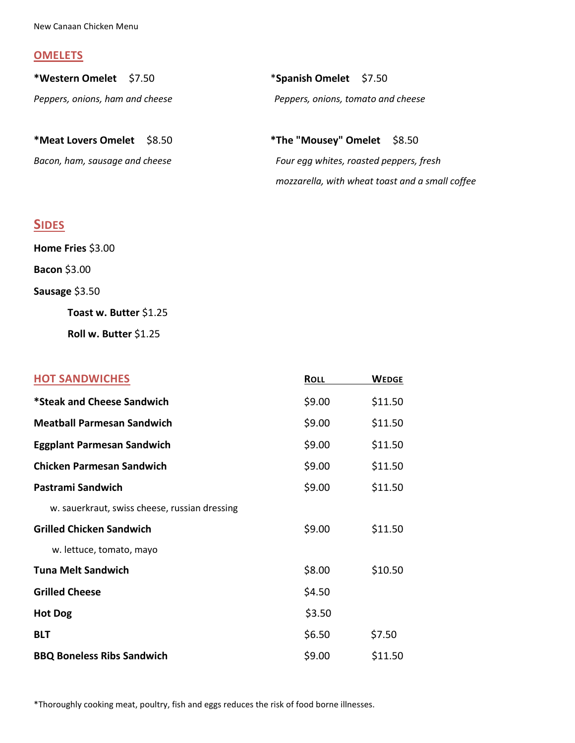#### **OMELETS**

| *Western Omelet \$7.50            | *Spanish Omelet \$7.50             |
|-----------------------------------|------------------------------------|
| Peppers, onions, ham and cheese   | Peppers, onions, tomato and cheese |
| <b>*Meat Lovers Omelet</b> \$8.50 | *The "Mousey" Omelet \$8.50        |

*Bacon, ham, sausage and cheese Four egg whites, roasted peppers, fresh mozzarella, with wheat toast and a small coffee*

# **SIDES**

| Home Fries \$3.00      |  |
|------------------------|--|
| <b>Bacon \$3.00</b>    |  |
| Sausage \$3.50         |  |
| Toast w. Butter \$1.25 |  |
| Roll w. Butter \$1.25  |  |

| <b>HOT SANDWICHES</b>                         | <b>ROLL</b> | <b>WEDGE</b> |
|-----------------------------------------------|-------------|--------------|
| *Steak and Cheese Sandwich                    | \$9.00      | \$11.50      |
| <b>Meatball Parmesan Sandwich</b>             | \$9.00      | \$11.50      |
| <b>Eggplant Parmesan Sandwich</b>             | \$9.00      | \$11.50      |
| <b>Chicken Parmesan Sandwich</b>              | \$9.00      | \$11.50      |
| Pastrami Sandwich                             | \$9.00      | \$11.50      |
| w. sauerkraut, swiss cheese, russian dressing |             |              |
| <b>Grilled Chicken Sandwich</b>               | \$9.00      | \$11.50      |
| w. lettuce, tomato, mayo                      |             |              |
| <b>Tuna Melt Sandwich</b>                     | \$8.00      | \$10.50      |
| <b>Grilled Cheese</b>                         | \$4.50      |              |
| <b>Hot Dog</b>                                | \$3.50      |              |
| <b>BLT</b>                                    | \$6.50      | \$7.50       |
| <b>BBQ Boneless Ribs Sandwich</b>             | \$9.00      | \$11.50      |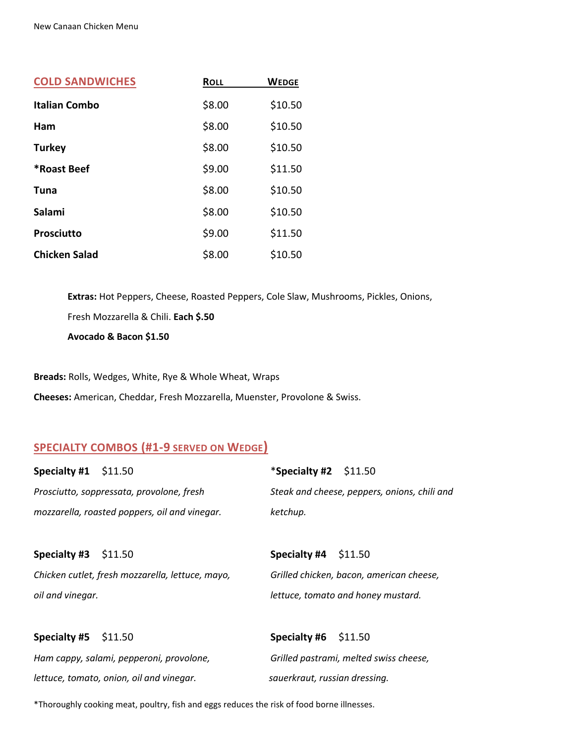| <b>COLD SANDWICHES</b> | <b>ROLL</b> | <b>WEDGE</b> |
|------------------------|-------------|--------------|
| <b>Italian Combo</b>   | \$8.00      | \$10.50      |
| Ham                    | \$8.00      | \$10.50      |
| <b>Turkey</b>          | \$8.00      | \$10.50      |
| *Roast Beef            | \$9.00      | \$11.50      |
| Tuna                   | \$8.00      | \$10.50      |
| Salami                 | \$8.00      | \$10.50      |
| <b>Prosciutto</b>      | \$9.00      | \$11.50      |
| <b>Chicken Salad</b>   | \$8.00      | \$10.50      |

**Extras:** Hot Peppers, Cheese, Roasted Peppers, Cole Slaw, Mushrooms, Pickles, Onions, Fresh Mozzarella & Chili. **Each \$.50 Avocado & Bacon \$1.50**

**Breads:** Rolls, Wedges, White, Rye & Whole Wheat, Wraps

**Cheeses:** American, Cheddar, Fresh Mozzarella, Muenster, Provolone & Swiss.

# **SPECIALTY COMBOS (#1-9 SERVED ON WEDGE)**

| Specialty #1 $$11.50$ |                                                  | *Specialty #2 $$11.50$        |                                              |
|-----------------------|--------------------------------------------------|-------------------------------|----------------------------------------------|
|                       | Prosciutto, soppressata, provolone, fresh        |                               | Steak and cheese, peppers, onions, chili and |
|                       | mozzarella, roasted poppers, oil and vinegar.    | ketchup.                      |                                              |
|                       |                                                  |                               |                                              |
| <b>Specialty #3</b>   | \$11.50                                          | <b>Specialty #4</b>           | \$11.50                                      |
|                       | Chicken cutlet, fresh mozzarella, lettuce, mayo, |                               | Grilled chicken, bacon, american cheese,     |
| oil and vinegar.      |                                                  |                               | lettuce, tomato and honey mustard.           |
|                       |                                                  |                               |                                              |
| Specialty #5          | \$11.50                                          | Specialty #6 $$11.50$         |                                              |
|                       | Ham cappy, salami, pepperoni, provolone,         |                               | Grilled pastrami, melted swiss cheese,       |
|                       | lettuce, tomato, onion, oil and vinegar.         | sauerkraut, russian dressing. |                                              |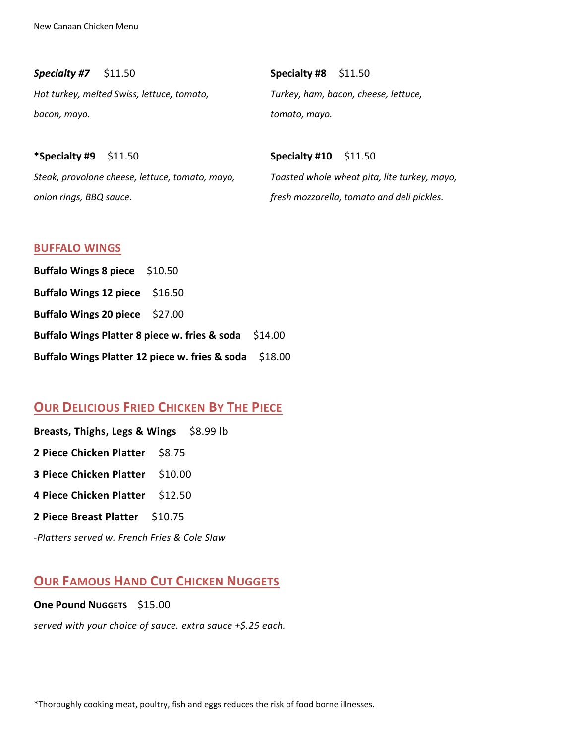*Specialty #7* \$11.50 **Specialty #8** \$11.50 *Hot turkey, melted Swiss, lettuce, tomato, Turkey, ham, bacon, cheese, lettuce, bacon, mayo. tomato, mayo.*

*Steak, provolone cheese, lettuce, tomato, mayo, Toasted whole wheat pita, lite turkey, mayo, onion rings, BBQ sauce. fresh mozzarella, tomato and deli pickles.*

**\*Specialty #9** \$11.50 **Specialty #10** \$11.50

#### **BUFFALO WINGS**

| Buffalo Wings 8 piece \$10.50                          |  |  |
|--------------------------------------------------------|--|--|
| Buffalo Wings 12 piece $$16.50$                        |  |  |
| Buffalo Wings 20 piece $$27.00$                        |  |  |
| Buffalo Wings Platter 8 piece w. fries & soda \$14.00  |  |  |
| Buffalo Wings Platter 12 piece w. fries & soda \$18.00 |  |  |

# **OUR DELICIOUS FRIED CHICKEN BY THE PIECE**

| Breasts, Thighs, Legs & Wings \$8.99 lb |  |
|-----------------------------------------|--|
| 2 Piece Chicken Platter \$8.75          |  |
| <b>3 Piece Chicken Platter \$10.00</b>  |  |
| 4 Piece Chicken Platter \$12.50         |  |
| 2 Piece Breast Platter \$10.75          |  |

*-Platters served w. French Fries & Cole Slaw*

# **OUR FAMOUS HAND CUT CHICKEN NUGGETS**

**One Pound NUGGETS** \$15.00

*served with your choice of sauce. extra sauce +\$.25 each.*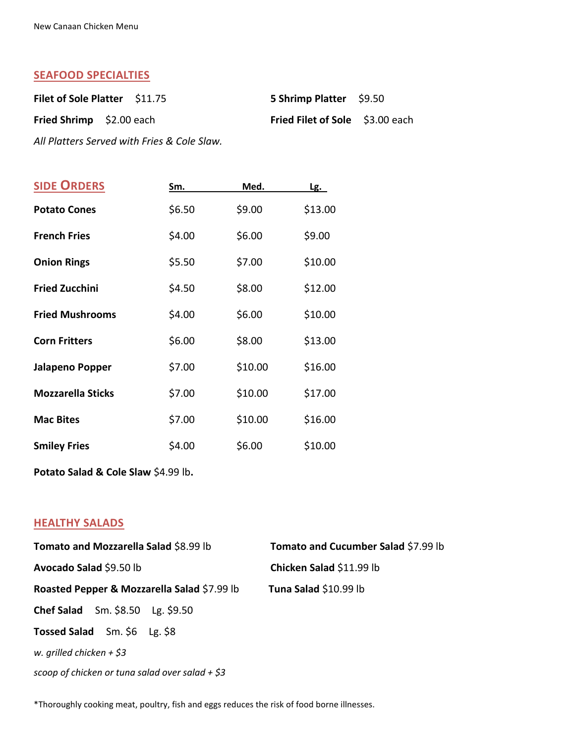## **SEAFOOD SPECIALTIES**

| Filet of Sole Platter \$11.75 | <b>5 Shrimp Platter</b> \$9.50         |  |
|-------------------------------|----------------------------------------|--|
| Fried Shrimp \$2.00 each      | <b>Fried Filet of Sole</b> \$3.00 each |  |

*All Platters Served with Fries & Cole Slaw.*

| <b>SIDE ORDERS</b>       | Sm.    | Med.    | <u>Lg.</u> |
|--------------------------|--------|---------|------------|
| <b>Potato Cones</b>      | \$6.50 | \$9.00  | \$13.00    |
| <b>French Fries</b>      | \$4.00 | \$6.00  | \$9.00     |
| <b>Onion Rings</b>       | \$5.50 | \$7.00  | \$10.00    |
| <b>Fried Zucchini</b>    | \$4.50 | \$8.00  | \$12.00    |
| <b>Fried Mushrooms</b>   | \$4.00 | \$6.00  | \$10.00    |
| <b>Corn Fritters</b>     | \$6.00 | \$8.00  | \$13.00    |
| Jalapeno Popper          | \$7.00 | \$10.00 | \$16.00    |
| <b>Mozzarella Sticks</b> | \$7.00 | \$10.00 | \$17.00    |
| <b>Mac Bites</b>         | \$7.00 | \$10.00 | \$16.00    |
| <b>Smiley Fries</b>      | \$4.00 | \$6.00  | \$10.00    |
|                          |        |         |            |

**Potato Salad & Cole Slaw** \$4.99 lb**.**

# **HEALTHY SALADS**

| Tomato and Mozzarella Salad \$8.99 lb             | Tomato and Cucumber Salad \$7.99 lb |  |
|---------------------------------------------------|-------------------------------------|--|
| Avocado Salad \$9.50 lb                           | Chicken Salad \$11.99 lb            |  |
| Roasted Pepper & Mozzarella Salad \$7.99 lb       | Tuna Salad \$10.99 lb               |  |
| <b>Chef Salad</b> Sm. $$8.50$ Lg. $$9.50$         |                                     |  |
| Tossed Salad Sm. \$6 Lg. \$8                      |                                     |  |
| w. grilled chicken $+$ \$3                        |                                     |  |
| scoop of chicken or tuna salad over salad $+$ \$3 |                                     |  |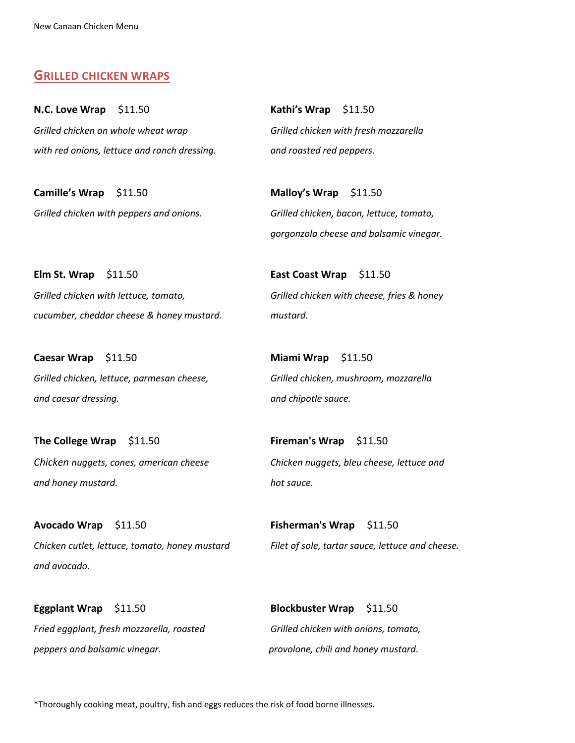## **GRILLED CHICKEN WRAPS**

**N.C. Love Wrap** \$11.50 **Kathi's Wrap** \$11.50 *Grilled chicken on whole wheat wrap Grilled chicken with fresh mozzarella with red onions, lettuce and ranch dressing. and roasted red peppers.*

**Camille's Wrap** \$11.50 **Malloy's Wrap** \$11.50

**Elm St. Wrap** \$11.50 **East Coast Wrap** \$11.50 *Grilled chicken with lettuce, tomato, Grilled chicken with cheese, fries & honey cucumber, cheddar cheese & honey mustard. mustard.*

**Caesar Wrap** \$11.50 **Miami Wrap** \$11.50 *Grilled chicken, lettuce, parmesan cheese, Grilled chicken, mushroom, mozzarella and caesar dressing. and chipotle sauce.*

**The College Wrap** \$11.50 **Fireman's Wrap** \$11.50 *and honey mustard. hot sauce.*

**Avocado Wrap** \$11.50 **Fisherman's Wrap** \$11.50 *Chicken cutlet, lettuce, tomato, honey mustard Filet of sole, tartar sauce, lettuce and cheese. and avocado.*

*Fried eggplant, fresh mozzarella, roasted Grilled chicken with onions, tomato, peppers and balsamic vinegar. provolone, chili and honey mustard.*

*Grilled chicken with peppers and onions. Grilled chicken, bacon, lettuce, tomato, gorgonzola cheese and balsamic vinegar.*

*Chicken nuggets, cones, american cheese Chicken nuggets, bleu cheese, lettuce and*

**Eggplant Wrap** \$11.50 **Blockbuster Wrap** \$11.50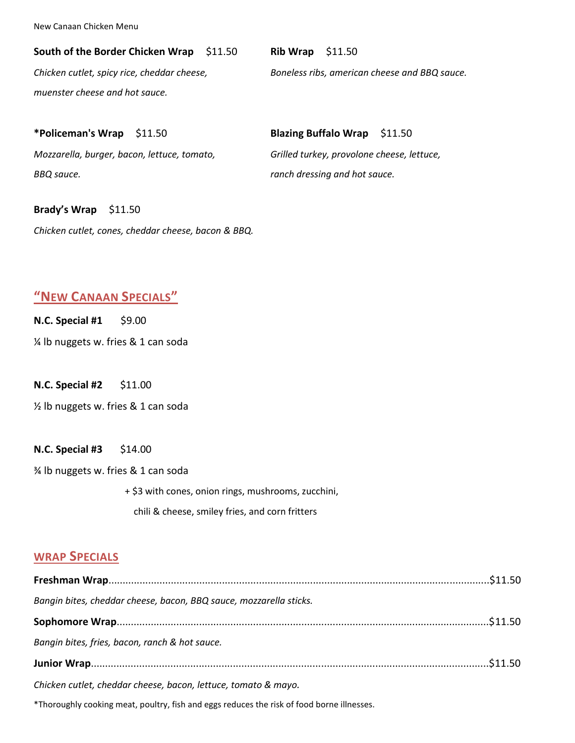#### **South of the Border Chicken Wrap** \$11.50 **Rib Wrap** \$11.50

*muenster cheese and hot sauce.*

*Chicken cutlet, spicy rice, cheddar cheese, Boneless ribs, american cheese and BBQ sauce.*

## **\*Policeman's Wrap** \$11.50 **Blazing Buffalo Wrap** \$11.50

*Mozzarella, burger, bacon, lettuce, tomato, Grilled turkey, provolone cheese, lettuce, BBQ sauce. ranch dressing and hot sauce.*

# **Brady's Wrap** \$11.50

*Chicken cutlet, cones, cheddar cheese, bacon & BBQ.*

# **"NEW CANAAN SPECIALS"**

**N.C. Special #1** \$9.00

¼ lb nuggets w. fries & 1 can soda

**N.C. Special #2** \$11.00

½ lb nuggets w. fries & 1 can soda

#### **N.C. Special #3** \$14.00

¾ lb nuggets w. fries & 1 can soda

+ \$3 with cones, onion rings, mushrooms, zucchini,

chili & cheese, smiley fries, and corn fritters

## **WRAP SPECIALS**

| .\$11.50 بالسين المصدر المصدر المستقدر المستقدر المستقدر المستقدر المستقدر المصدر المصدر المصدر المصدر المصدر المصدر المصدر المصدر المصدر المصدر المصدر المصدر المصدر المصدر المصدر المصدر المصدر المصدر المصدر المصدر المصدر ا |  |
|---------------------------------------------------------------------------------------------------------------------------------------------------------------------------------------------------------------------------------|--|
| Bangin bites, cheddar cheese, bacon, BBQ sauce, mozzarella sticks.                                                                                                                                                              |  |
|                                                                                                                                                                                                                                 |  |
| Bangin bites, fries, bacon, ranch & hot sauce.                                                                                                                                                                                  |  |
|                                                                                                                                                                                                                                 |  |
| Chicken cutlet, cheddar cheese, bacon, lettuce, tomato & mayo.                                                                                                                                                                  |  |